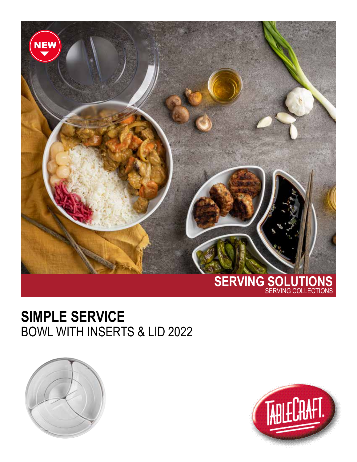

## **SIMPLE SERVICE**  BOWL WITH INSERTS & LID 2022